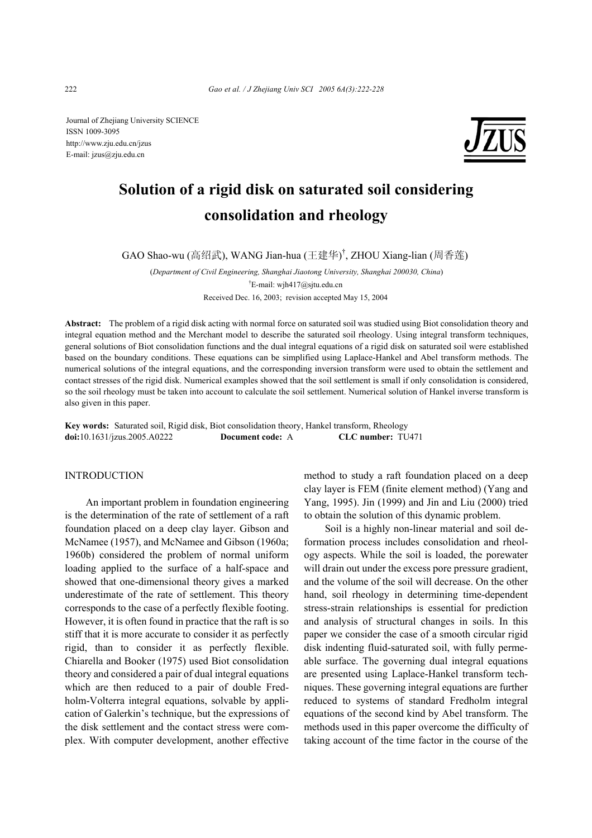Journal of Zhejiang University SCIENCE ISSN 1009-3095 http://www.zju.edu.cn/jzus E-mail: jzus@zju.edu.cn



# **Solution of a rigid disk on saturated soil considering consolidation and rheology**

GAO Shao-wu (高绍武), WANG Jian-hua (王建华) † , ZHOU Xiang-lian (周香莲)

(*Department of Civil Engineering, Shanghai Jiaotong University, Shanghai 200030, China*) † E-mail: wjh417@sjtu.edu.cn Received Dec. 16, 2003; revision accepted May 15, 2004

**Abstract:** The problem of a rigid disk acting with normal force on saturated soil was studied using Biot consolidation theory and integral equation method and the Merchant model to describe the saturated soil rheology. Using integral transform techniques, general solutions of Biot consolidation functions and the dual integral equations of a rigid disk on saturated soil were established based on the boundary conditions. These equations can be simplified using Laplace-Hankel and Abel transform methods. The numerical solutions of the integral equations, and the corresponding inversion transform were used to obtain the settlement and contact stresses of the rigid disk. Numerical examples showed that the soil settlement is small if only consolidation is considered, so the soil rheology must be taken into account to calculate the soil settlement. Numerical solution of Hankel inverse transform is also given in this paper.

**Key words:** Saturated soil, Rigid disk, Biot consolidation theory, Hankel transform, Rheology **doi:**10.1631/jzus.2005.A0222 **Document code:** A **CLC number:** TU471

# **INTRODUCTION**

An important problem in foundation engineering is the determination of the rate of settlement of a raft foundation placed on a deep clay layer. Gibson and McNamee (1957), and McNamee and Gibson (1960a; 1960b) considered the problem of normal uniform loading applied to the surface of a half-space and showed that one-dimensional theory gives a marked underestimate of the rate of settlement. This theory corresponds to the case of a perfectly flexible footing. However, it is often found in practice that the raft is so stiff that it is more accurate to consider it as perfectly rigid, than to consider it as perfectly flexible. Chiarella and Booker (1975) used Biot consolidation theory and considered a pair of dual integral equations which are then reduced to a pair of double Fredholm-Volterra integral equations, solvable by application of Galerkin's technique, but the expressions of the disk settlement and the contact stress were complex. With computer development, another effective method to study a raft foundation placed on a deep clay layer is FEM (finite element method) (Yang and Yang, 1995). Jin (1999) and Jin and Liu (2000) tried to obtain the solution of this dynamic problem.

Soil is a highly non-linear material and soil deformation process includes consolidation and rheology aspects. While the soil is loaded, the porewater will drain out under the excess pore pressure gradient, and the volume of the soil will decrease. On the other hand, soil rheology in determining time-dependent stress-strain relationships is essential for prediction and analysis of structural changes in soils. In this paper we consider the case of a smooth circular rigid disk indenting fluid-saturated soil, with fully permeable surface. The governing dual integral equations are presented using Laplace-Hankel transform techniques. These governing integral equations are further reduced to systems of standard Fredholm integral equations of the second kind by Abel transform. The methods used in this paper overcome the difficulty of taking account of the time factor in the course of the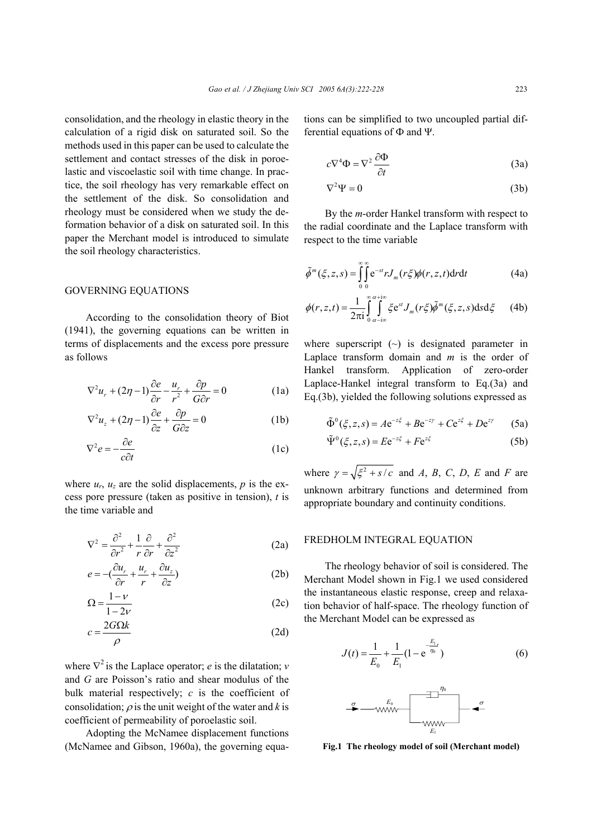consolidation, and the rheology in elastic theory in the calculation of a rigid disk on saturated soil. So the methods used in this paper can be used to calculate the settlement and contact stresses of the disk in poroelastic and viscoelastic soil with time change. In practice, the soil rheology has very remarkable effect on the settlement of the disk. So consolidation and rheology must be considered when we study the deformation behavior of a disk on saturated soil. In this paper the Merchant model is introduced to simulate the soil rheology characteristics.

## GOVERNING EQUATIONS

According to the consolidation theory of Biot (1941), the governing equations can be written in terms of displacements and the excess pore pressure as follows

$$
\nabla^2 u_r + (2\eta - 1)\frac{\partial e}{\partial r} - \frac{u_r}{r^2} + \frac{\partial p}{G\partial r} = 0
$$
 (1a)

$$
\nabla^2 u_z + (2\eta - 1)\frac{\partial e}{\partial z} + \frac{\partial p}{G\partial z} = 0
$$
 (1b)

$$
\nabla^2 e = -\frac{\partial e}{c\partial t} \tag{1c}
$$

where  $u_r$ ,  $u_z$  are the solid displacements,  $p$  is the excess pore pressure (taken as positive in tension), *t* is the time variable and

$$
\nabla^2 = \frac{\partial^2}{\partial r^2} + \frac{1}{r} \frac{\partial}{\partial r} + \frac{\partial^2}{\partial z^2}
$$
 (2a)

$$
e = -\left(\frac{\partial u_r}{\partial r} + \frac{u_r}{r} + \frac{\partial u_z}{\partial z}\right) \tag{2b}
$$

$$
\Omega = \frac{1 - \nu}{1 - 2\nu} \tag{2c}
$$

$$
c = \frac{2G\Omega k}{\rho} \tag{2d}
$$

where  $\nabla^2$  is the Laplace operator; *e* is the dilatation; *v* and *G* are Poisson's ratio and shear modulus of the bulk material respectively; *c* is the coefficient of consolidation;  $\rho$  is the unit weight of the water and *k* is coefficient of permeability of poroelastic soil.

Adopting the McNamee displacement functions (McNamee and Gibson, 1960a), the governing equations can be simplified to two uncoupled partial differential equations of Ф and Ψ.

$$
c\nabla^4 \Phi = \nabla^2 \frac{\partial \Phi}{\partial t}
$$
 (3a)

$$
\nabla^2 \Psi = 0 \tag{3b}
$$

By the *m*-order Hankel transform with respect to the radial coordinate and the Laplace transform with respect to the time variable

$$
\tilde{\phi}^m(\xi, z, s) = \int_{0}^{\infty} \int_{0}^{\infty} e^{-st} r J_m(r\xi) \phi(r, z, t) dr dt
$$
 (4a)

$$
\phi(r, z, t) = \frac{1}{2\pi i} \int_{0}^{\infty} \int_{a - i\infty}^{a + i\infty} \xi e^{st} J_m(r\xi) \tilde{\phi}^m(\xi, z, s) ds d\xi \qquad (4b)
$$

where superscript  $(\sim)$  is designated parameter in Laplace transform domain and *m* is the order of Hankel transform. Application of zero-order Laplace-Hankel integral transform to Eq.(3a) and Eq.(3b), yielded the following solutions expressed as

$$
\tilde{\Phi}^{0}(\xi, z, s) = A e^{-z\xi} + B e^{-z\gamma} + C e^{z\xi} + D e^{z\gamma}
$$
 (5a)

$$
\tilde{\Psi}^0(\xi, z, s) = E e^{-z\xi} + F e^{z\xi}
$$
 (5b)

where  $\gamma = \sqrt{\xi^2 + s/c}$  and *A*, *B*, *C*, *D*, *E* and *F* are unknown arbitrary functions and determined from appropriate boundary and continuity conditions.

## FREDHOLM INTEGRAL EQUATION

The rheology behavior of soil is considered. The Merchant Model shown in Fig.1 we used considered the instantaneous elastic response, creep and relaxation behavior of half-space. The rheology function of the Merchant Model can be expressed as

$$
J(t) = \frac{1}{E_0} + \frac{1}{E_1} (1 - e^{-\frac{E_1}{\eta_0}})
$$
(6)

*E*1

**Fig.1 The rheology model of soil (Merchant model)**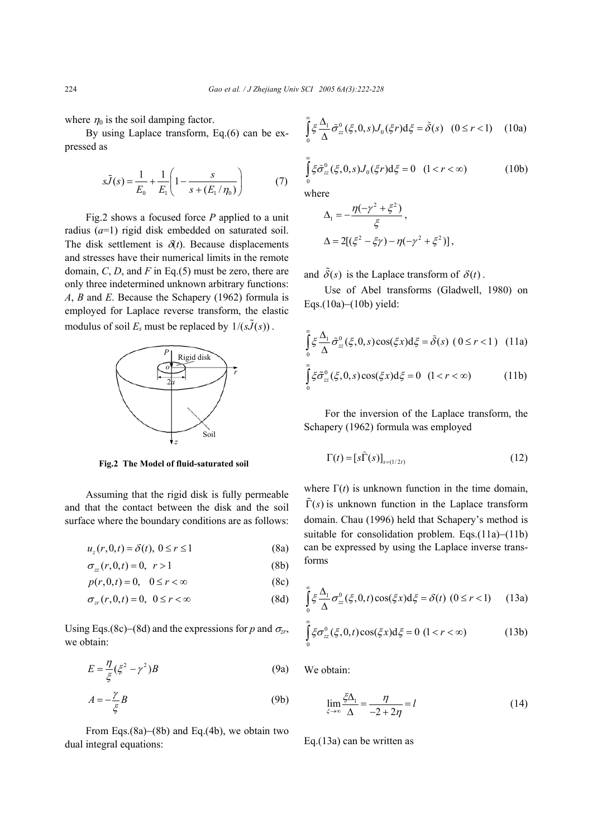where  $\eta_0$  is the soil damping factor.

By using Laplace transform, Eq.(6) can be expressed as

$$
s\tilde{J}(s) = \frac{1}{E_0} + \frac{1}{E_1} \left( 1 - \frac{s}{s + (E_1/\eta_0)} \right) \tag{7}
$$

Fig.2 shows a focused force *P* applied to a unit radius (*a*=1) rigid disk embedded on saturated soil. The disk settlement is  $\delta(t)$ . Because displacements and stresses have their numerical limits in the remote domain, *C*, *D*, and *F* in Eq.(5) must be zero, there are only three indetermined unknown arbitrary functions: *A*, *B* and *E*. Because the Schapery (1962) formula is employed for Laplace reverse transform, the elastic modulus of soil  $E_s$  must be replaced by  $1/(s\tilde{J}(s))$ .



**Fig.2 The Model of fluid-saturated soil**

Assuming that the rigid disk is fully permeable and that the contact between the disk and the soil surface where the boundary conditions are as follows:

$$
u_z(r,0,t) = \delta(t), \ 0 \le r \le 1 \tag{8a}
$$

$$
\sigma_{zz}(r,0,t) = 0, \quad r > 1 \tag{8b}
$$

$$
p(r,0,t) = 0, \quad 0 \le r < \infty \tag{8c}
$$

$$
\sigma_{zr}(r,0,t) = 0, \ \ 0 \le r < \infty \tag{8d}
$$

Using Eqs.(8c)–(8d) and the expressions for *p* and  $\sigma_{z}$ , we obtain:

$$
E = \frac{\eta}{\xi} (\xi^2 - \gamma^2) B \tag{9a}
$$

$$
A = -\frac{\gamma}{\xi}B\tag{9b}
$$

From Eqs.(8a)−(8b) and Eq.(4b), we obtain two dual integral equations:

$$
\int_{0}^{\infty} \xi \frac{\Delta_1}{\Delta} \tilde{\sigma}_{zz}^{0}(\xi, 0, s) J_0(\xi r) d\xi = \tilde{\delta}(s) \quad (0 \le r < 1) \quad (10a)
$$

$$
\int_{0}^{\infty} \xi \tilde{\sigma}_{zz}^{0}(\xi, 0, s) J_{0}(\xi r) d\xi = 0 \quad (1 < r < \infty)
$$
 (10b)

where  
\n
$$
\Delta_1 = -\frac{\eta(-\gamma^2 + \xi^2)}{\xi},
$$
\n
$$
\Delta = 2[(\xi^2 - \xi\gamma) - \eta(-\gamma^2 + \xi^2)],
$$

and  $\tilde{\delta}(s)$  is the Laplace transform of  $\delta(t)$ .

Use of Abel transforms (Gladwell, 1980) on Eqs.(10a)−(10b) yield:

$$
\int_{0}^{\infty} \xi \frac{\Delta_{1}}{\Delta} \tilde{\sigma}_{zz}^{0}(\xi, 0, s) \cos(\xi x) d\xi = \tilde{\delta}(s) (0 \le r < 1) (11a)
$$
  

$$
\int_{0}^{\infty} \xi \tilde{\sigma}_{zz}^{0}(\xi, 0, s) \cos(\xi x) d\xi = 0 (1 < r < \infty) (11b)
$$

For the inversion of the Laplace transform, the Schapery (1962) formula was employed

$$
\Gamma(t) = [s\tilde{\Gamma}(s)]_{s=(1/2t)}
$$
\n(12)

where  $\Gamma(t)$  is unknown function in the time domain,  $\tilde{\Gamma}(s)$  is unknown function in the Laplace transform domain. Chau (1996) held that Schapery's method is suitable for consolidation problem. Eqs.(11a)–(11b) can be expressed by using the Laplace inverse transforms

$$
\int_{0}^{\infty} \xi \frac{\Delta_1}{\Delta} \sigma_{zz}^{0}(\xi, 0, t) \cos(\xi x) d\xi = \delta(t) \ (0 \le r < 1)
$$
 (13a)

$$
\int_{0}^{\infty} \xi \sigma_{zz}^{0}(\xi, 0, t) \cos(\xi x) d\xi = 0 \ (1 < r < \infty)
$$
 (13b)

We obtain:

$$
\lim_{\xi \to \infty} \frac{\xi \Delta_1}{\Delta} = \frac{\eta}{-2 + 2\eta} = l \tag{14}
$$

Eq.(13a) can be written as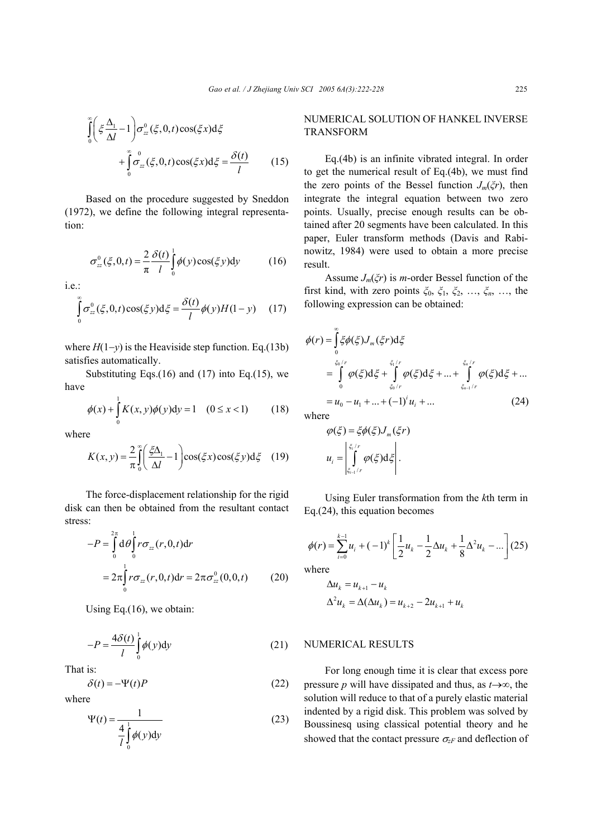$$
\int_{0}^{\infty} \left( \xi \frac{\Delta_1}{\Delta l} - 1 \right) \sigma_{zz}^{0}(\xi, 0, t) \cos(\xi x) d\xi
$$

$$
+ \int_{0}^{\infty} \sigma_{zz}^{0}(\xi, 0, t) \cos(\xi x) d\xi = \frac{\delta(t)}{l} \qquad (15)
$$

Based on the procedure suggested by Sneddon (1972), we define the following integral representation:

$$
\sigma_{zz}^0(\xi, 0, t) = \frac{2}{\pi} \frac{\delta(t)}{l} \int_0^1 \phi(y) \cos(\xi y) dy \qquad (16)
$$

i.e.:

$$
\int_{0}^{\infty} \sigma_{zz}^{0}(\xi, 0, t) \cos(\xi y) \mathrm{d}\xi = \frac{\delta(t)}{l} \phi(y) H(1 - y) \quad (17)
$$

where  $H(1-y)$  is the Heaviside step function. Eq.(13b) satisfies automatically.

Substituting Eqs. $(16)$  and  $(17)$  into Eq. $(15)$ , we have

$$
\phi(x) + \int_{0}^{1} K(x, y)\phi(y)dy = 1 \quad (0 \le x < 1)
$$
 (18)

where

$$
K(x, y) = \frac{2}{\pi} \int_{0}^{\infty} \left( \frac{\xi \Delta_1}{\Delta l} - 1 \right) \cos(\xi x) \cos(\xi y) d\xi \quad (19)
$$

The force-displacement relationship for the rigid disk can then be obtained from the resultant contact stress:

$$
-P = \int_{0}^{2\pi} d\theta \int_{0}^{1} r \sigma_{zz}(r, 0, t) dr
$$
  
=  $2\pi \int_{0}^{1} r \sigma_{zz}(r, 0, t) dr = 2\pi \sigma_{zz}^{0}(0, 0, t)$  (20)

Using Eq.(16), we obtain:

$$
-P = \frac{4\delta(t)}{l} \int_{0}^{l} \phi(y) \, dy \tag{21}
$$

That is:

$$
\delta(t) = -\Psi(t)P\tag{22}
$$

where

$$
\Psi(t) = \frac{1}{\frac{4}{l} \int_{0}^{l} \phi(y) dy}
$$
 (23)

# NUMERICAL SOLUTION OF HANKEL INVERSE TRANSFORM

Eq.(4b) is an infinite vibrated integral. In order to get the numerical result of Eq.(4b), we must find the zero points of the Bessel function *Jm*(*ξr*), then integrate the integral equation between two zero points. Usually, precise enough results can be obtained after 20 segments have been calculated. In this paper, Euler transform methods (Davis and Rabinowitz, 1984) were used to obtain a more precise result.

Assume *Jm*(*ξr*) is *m*-order Bessel function of the first kind, with zero points *ξ*0, *ξ*1, *ξ*2, …, *ξn*, …, the following expression can be obtained:

$$
\phi(r) = \int_{0}^{\infty} \xi \phi(\xi) J_{m}(\xi r) d\xi
$$
  
\n
$$
= \int_{0}^{\xi_{0}/r} \phi(\xi) d\xi + \int_{\xi_{0}/r}^{\xi_{1}/r} \phi(\xi) d\xi + ... + \int_{\xi_{n-1}/r}^{\xi_{n}/r} \phi(\xi) d\xi + ...
$$
  
\n
$$
= u_{0} - u_{1} + ... + (-1)^{i} u_{i} + ... \qquad (24)
$$

where

$$
\varphi(\xi) = \xi \phi(\xi) J_m(\xi r)
$$

$$
u_i = \left| \int_{\xi_{i-1}/r}^{\xi_i/r} \varphi(\xi) d\xi \right|.
$$

Using Euler transformation from the *k*th term in Eq.(24), this equation becomes

$$
\phi(r) = \sum_{i=0}^{k-1} u_i + (-1)^k \left[ \frac{1}{2} u_k - \frac{1}{2} \Delta u_k + \frac{1}{8} \Delta^2 u_k - \dots \right] (25)
$$

where

$$
\Delta u_k = u_{k+1} - u_k
$$
  
\n
$$
\Delta^2 u_k = \Delta(\Delta u_k) = u_{k+2} - 2u_{k+1} + u_k
$$

# NUMERICAL RESULTS

For long enough time it is clear that excess pore pressure *p* will have dissipated and thus, as *t*→∞, the solution will reduce to that of a purely elastic material indented by a rigid disk. This problem was solved by Boussinesq using classical potential theory and he showed that the contact pressure  $\sigma_{zF}$  and deflection of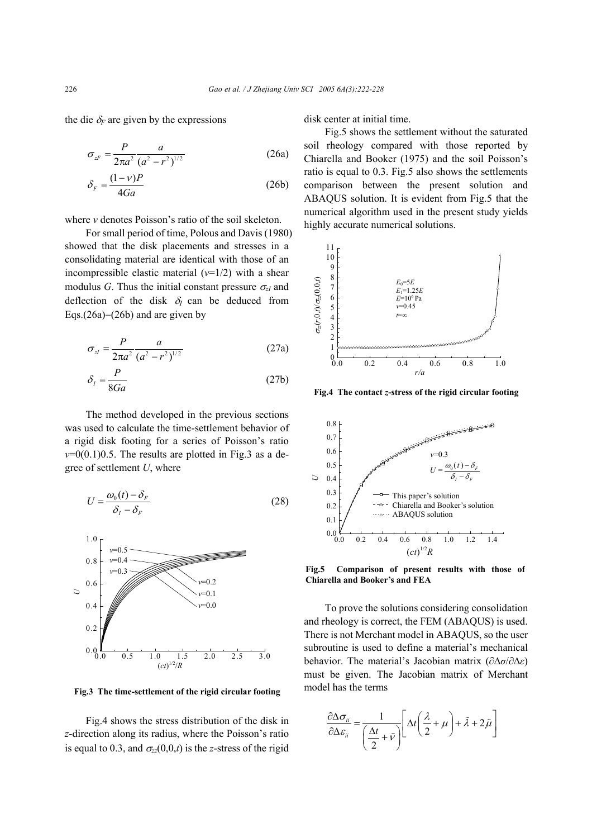the die  $\delta_F$  are given by the expressions

$$
\sigma_{zF} = \frac{P}{2\pi a^2} \frac{a}{(a^2 - r^2)^{1/2}}
$$
 (26a)

$$
\delta_F = \frac{(1 - v)P}{4Ga} \tag{26b}
$$

where *v* denotes Poisson's ratio of the soil skeleton.

For small period of time, Polous and Davis (1980) showed that the disk placements and stresses in a consolidating material are identical with those of an incompressible elastic material  $(v=1/2)$  with a shear modulus *G*. Thus the initial constant pressure  $\sigma_{zI}$  and deflection of the disk δ*I* can be deduced from Eqs.(26a)−(26b) and are given by

$$
\sigma_{zI} = \frac{P}{2\pi a^2} \frac{a}{(a^2 - r^2)^{1/2}}
$$
 (27a)

$$
\delta_l = \frac{P}{8Ga} \tag{27b}
$$

The method developed in the previous sections was used to calculate the time-settlement behavior of a rigid disk footing for a series of Poisson's ratio  $v=0(0.1)0.5$ . The results are plotted in Fig.3 as a degree of settlement *U*, where

$$
U = \frac{\omega_0(t) - \delta_F}{\delta_I - \delta_F} \tag{28}
$$



Fig.4 shows the stress distribution of the disk in *z*-direction along its radius, where the Poisson's ratio is equal to 0.3, and  $\sigma_{zz}(0,0,t)$  is the *z*-stress of the rigid

disk center at initial time.

Fig.5 shows the settlement without the saturated soil rheology compared with those reported by Chiarella and Booker (1975) and the soil Poisson's ratio is equal to 0.3. Fig.5 also shows the settlements comparison between the present solution and ABAQUS solution. It is evident from Fig.5 that the numerical algorithm used in the present study yields highly accurate numerical solutions.



**Fig.4 The contact** *z***-stress of the rigid circular footing**



**Fig.5 Comparison of present results with those of Chiarella and Booker's and FEA**

To prove the solutions considering consolidation and rheology is correct, the FEM (ABAQUS) is used. There is not Merchant model in ABAQUS, so the user subroutine is used to define a material's mechanical behavior. The material's Jacobian matrix (∂∆*σ*/∂∆*ε*) must be given. The Jacobian matrix of Merchant model has the terms

$$
\frac{\partial \Delta \sigma_{ii}}{\partial \Delta \varepsilon_{ii}} = \frac{1}{\left(\frac{\Delta t}{2} + \tilde{v}\right)} \left[ \Delta t \left(\frac{\lambda}{2} + \mu\right) + \tilde{\lambda} + 2\tilde{\mu} \right]
$$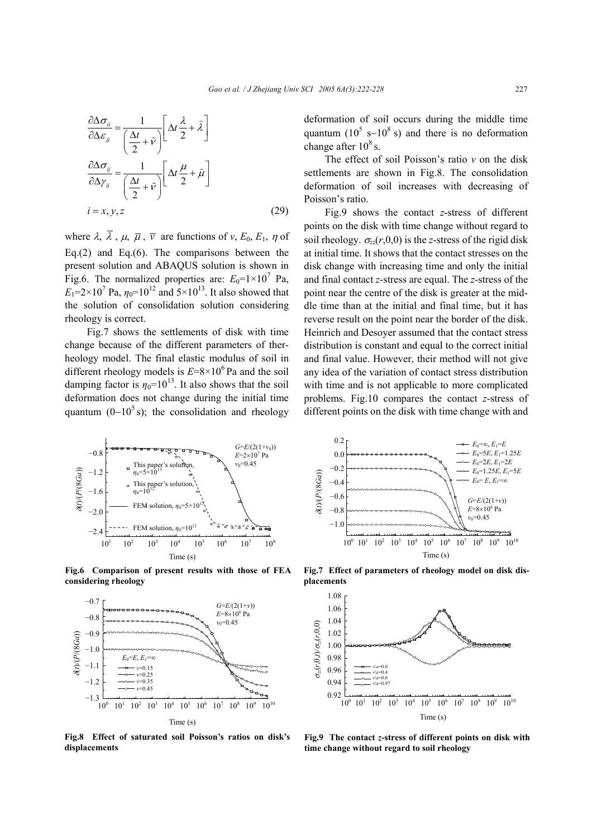$$
\frac{\partial \Delta \sigma_{ii}}{\partial \Delta \varepsilon_{jj}} = \frac{1}{\left(\frac{\Delta t}{2} + \tilde{\nu}\right)} \left[\Delta t \frac{\lambda}{2} + \tilde{\lambda}\right]
$$

$$
\frac{\partial \Delta \sigma_{ij}}{\partial \Delta \gamma_{ij}} = \frac{1}{\left(\frac{\Delta t}{2} + \tilde{\nu}\right)} \left[\Delta t \frac{\mu}{2} + \tilde{\mu}\right]
$$

$$
i = x, y, z \tag{29}
$$

where  $\lambda$ ,  $\overline{\lambda}$ ,  $\mu$ ,  $\overline{\mu}$ ,  $\overline{\nu}$  are functions of *v*,  $E_0$ ,  $E_1$ ,  $\eta$  of Eq.(2) and Eq.(6). The comparisons between the present solution and ABAQUS solution is shown in Fig.6. The normalized properties are:  $E_0 = 1 \times 10^7$  Pa,  $E_1 = 2 \times 10^7$  Pa,  $\eta_0 = 10^{12}$  and  $5 \times 10^{13}$ . It also showed that the solution of consolidation solution considering rheology is correct.

Fig.7 shows the settlements of disk with time change because of the different parameters of therheology model. The final elastic modulus of soil in different rheology models is  $E=8\times10^6$  Pa and the soil damping factor is  $\eta_0 = 10^{13}$ . It also shows that the soil deformation does not change during the initial time quantum  $(0-10^5 s)$ ; the consolidation and rheology



**Fig.6 Comparison of present results with those of FEA considering rheology**



**Fig.8 Effect of saturated soil Poisson's ratios on disk's displacements**

deformation of soil occurs during the middle time quantum ( $10^5$  s- $10^8$  s) and there is no deformation change after  $10^8$  s.

The effect of soil Poisson's ratio *v* on the disk settlements are shown in Fig.8. The consolidation deformation of soil increases with decreasing of Poisson's ratio.

Fig.9 shows the contact *z*-stress of different points on the disk with time change without regard to soil rheology.  $\sigma_z(r,0,0)$  is the *z*-stress of the rigid disk at initial time. It shows that the contact stresses on the disk change with increasing time and only the initial and final contact *z*-stress are equal. The *z*-stress of the point near the centre of the disk is greater at the middle time than at the initial and final time, but it has reverse result on the point near the border of the disk. Heinrich and Desoyer assumed that the contact stress distribution is constant and equal to the correct initial and final value. However, their method will not give any idea of the variation of contact stress distribution with time and is not applicable to more complicated problems. Fig.10 compares the contact *z*-stress of different points on the disk with time change with and



**placements**



**Fig.9 The contact** *z***-stress of different points on disk with time change without regard to soil rheology**